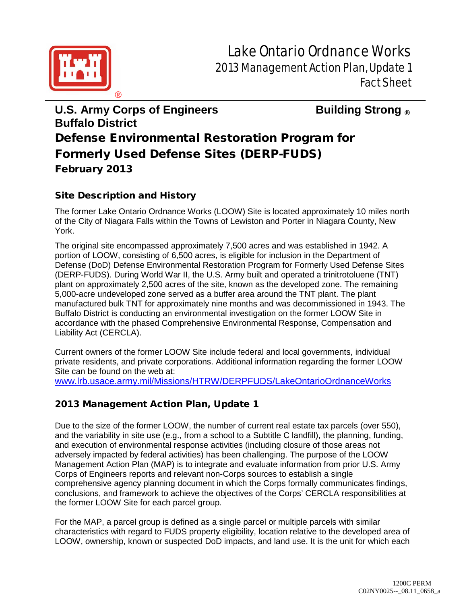

## **U.S. Army Corps of Engineers Building Strong ® Buffalo District** Defense Environmental Restoration Program for Formerly Used Defense Sites (DERP-FUDS) February 2013

## Site Description and History

The former Lake Ontario Ordnance Works (LOOW) Site is located approximately 10 miles north of the City of Niagara Falls within the Towns of Lewiston and Porter in Niagara County, New York.

The original site encompassed approximately 7,500 acres and was established in 1942. A portion of LOOW, consisting of 6,500 acres, is eligible for inclusion in the Department of Defense (DoD) Defense Environmental Restoration Program for Formerly Used Defense Sites (DERP-FUDS). During World War II, the U.S. Army built and operated a trinitrotoluene (TNT) plant on approximately 2,500 acres of the site, known as the developed zone. The remaining 5,000-acre undeveloped zone served as a buffer area around the TNT plant. The plant manufactured bulk TNT for approximately nine months and was decommissioned in 1943. The Buffalo District is conducting an environmental investigation on the former LOOW Site in accordance with the phased Comprehensive Environmental Response, Compensation and Liability Act (CERCLA).

Current owners of the former LOOW Site include federal and local governments, individual private residents, and private corporations. Additional information regarding the former LOOW Site can be found on the web at:

[www.lrb.usace.army.mil/Missions/HTRW/DERPFUDS/LakeOntarioOrdnanceWorks](http://www.lrb.usace.army.mil/Missions/HTRW/DERPFUDS/LakeOntarioOrdnanceWorks)

## 2013 Management Action Plan, Update 1

Due to the size of the former LOOW, the number of current real estate tax parcels (over 550), and the variability in site use (e.g., from a school to a Subtitle C landfill), the planning, funding, and execution of environmental response activities (including closure of those areas not adversely impacted by federal activities) has been challenging. The purpose of the LOOW Management Action Plan (MAP) is to integrate and evaluate information from prior U.S. Army Corps of Engineers reports and relevant non-Corps sources to establish a single comprehensive agency planning document in which the Corps formally communicates findings, conclusions, and framework to achieve the objectives of the Corps' CERCLA responsibilities at the former LOOW Site for each parcel group.

For the MAP, a parcel group is defined as a single parcel or multiple parcels with similar characteristics with regard to FUDS property eligibility, location relative to the developed area of LOOW, ownership, known or suspected DoD impacts, and land use. It is the unit for which each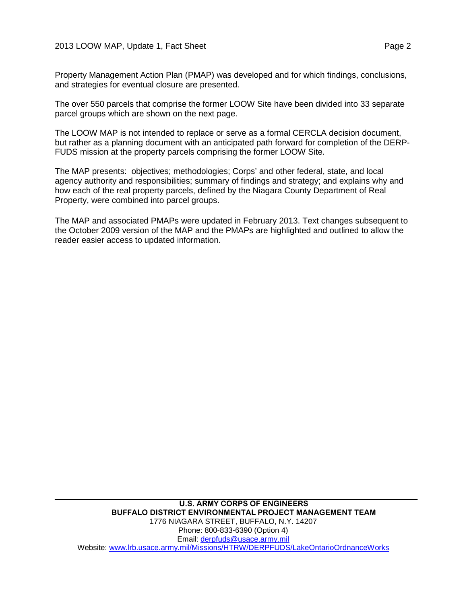Property Management Action Plan (PMAP) was developed and for which findings, conclusions, and strategies for eventual closure are presented.

The over 550 parcels that comprise the former LOOW Site have been divided into 33 separate parcel groups which are shown on the next page.

The LOOW MAP is not intended to replace or serve as a formal CERCLA decision document, but rather as a planning document with an anticipated path forward for completion of the DERP-FUDS mission at the property parcels comprising the former LOOW Site.

The MAP presents: objectives; methodologies; Corps' and other federal, state, and local agency authority and responsibilities; summary of findings and strategy; and explains why and how each of the real property parcels, defined by the Niagara County Department of Real Property, were combined into parcel groups.

The MAP and associated PMAPs were updated in February 2013. Text changes subsequent to the October 2009 version of the MAP and the PMAPs are highlighted and outlined to allow the reader easier access to updated information.